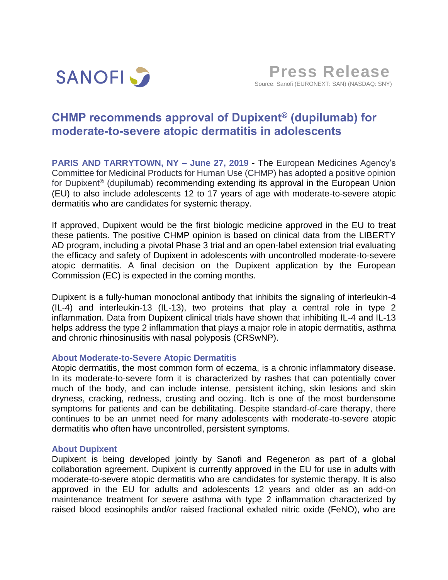

# **CHMP recommends approval of Dupixent® (dupilumab) for moderate-to-severe atopic dermatitis in adolescents**

**PARIS AND TARRYTOWN, NY – June 27, 2019** - The European Medicines Agency's Committee for Medicinal Products for Human Use (CHMP) has adopted a positive opinion for Dupixent® (dupilumab) recommending extending its approval in the European Union (EU) to also include adolescents 12 to 17 years of age with moderate-to-severe atopic dermatitis who are candidates for systemic therapy.

If approved, Dupixent would be the first biologic medicine approved in the EU to treat these patients. The positive CHMP opinion is based on clinical data from the LIBERTY AD program, including a pivotal Phase 3 trial and an open-label extension trial evaluating the efficacy and safety of Dupixent in adolescents with uncontrolled moderate-to-severe atopic dermatitis. A final decision on the Dupixent application by the European Commission (EC) is expected in the coming months.

Dupixent is a fully-human monoclonal antibody that inhibits the signaling of interleukin-4 (IL-4) and interleukin-13 (IL-13), two proteins that play a central role in type 2 inflammation. Data from Dupixent clinical trials have shown that inhibiting IL-4 and IL-13 helps address the type 2 inflammation that plays a major role in atopic dermatitis, asthma and chronic rhinosinusitis with nasal polyposis (CRSwNP).

# **About Moderate-to-Severe Atopic Dermatitis**

Atopic dermatitis, the most common form of eczema, is a chronic inflammatory disease. In its moderate-to-severe form it is characterized by rashes that can potentially cover much of the body, and can include intense, persistent itching, skin lesions and skin dryness, cracking, redness, crusting and oozing. Itch is one of the most burdensome symptoms for patients and can be debilitating. Despite standard-of-care therapy, there continues to be an unmet need for many adolescents with moderate-to-severe atopic dermatitis who often have uncontrolled, persistent symptoms.

# **About Dupixent**

Dupixent is being developed jointly by Sanofi and Regeneron as part of a global collaboration agreement. Dupixent is currently approved in the EU for use in adults with moderate-to-severe atopic dermatitis who are candidates for systemic therapy. It is also approved in the EU for adults and adolescents 12 years and older as an add-on maintenance treatment for severe asthma with type 2 inflammation characterized by raised blood eosinophils and/or raised fractional exhaled nitric oxide (FeNO), who are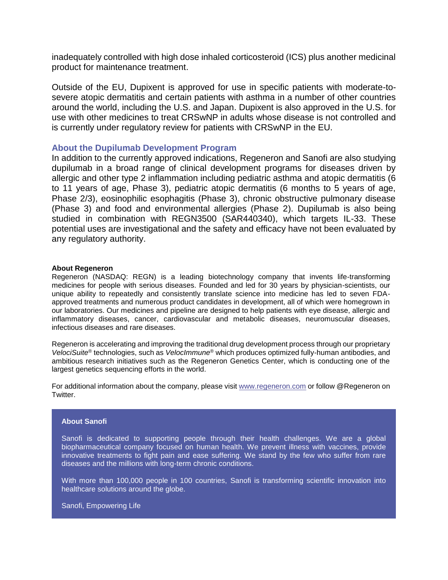inadequately controlled with high dose inhaled corticosteroid (ICS) plus another medicinal product for maintenance treatment.

Outside of the EU, Dupixent is approved for use in specific patients with moderate-tosevere atopic dermatitis and certain patients with asthma in a number of other countries around the world, including the U.S. and Japan. Dupixent is also approved in the U.S. for use with other medicines to treat CRSwNP in adults whose disease is not controlled and is currently under regulatory review for patients with CRSwNP in the EU.

## **About the Dupilumab Development Program**

In addition to the currently approved indications, Regeneron and Sanofi are also studying dupilumab in a broad range of clinical development programs for diseases driven by allergic and other type 2 inflammation including pediatric asthma and atopic dermatitis (6 to 11 years of age, Phase 3), pediatric atopic dermatitis (6 months to 5 years of age, Phase 2/3), eosinophilic esophagitis (Phase 3), chronic obstructive pulmonary disease (Phase 3) and food and environmental allergies (Phase 2). Dupilumab is also being studied in combination with REGN3500 (SAR440340), which targets IL-33. These potential uses are investigational and the safety and efficacy have not been evaluated by any regulatory authority.

## **About Regeneron**

Regeneron (NASDAQ: REGN) is a leading biotechnology company that invents life-transforming medicines for people with serious diseases. Founded and led for 30 years by physician-scientists, our unique ability to repeatedly and consistently translate science into medicine has led to seven FDAapproved treatments and numerous product candidates in development, all of which were homegrown in our laboratories. Our medicines and pipeline are designed to help patients with eye disease, allergic and inflammatory diseases, cancer, cardiovascular and metabolic diseases, neuromuscular diseases, infectious diseases and rare diseases.

Regeneron is accelerating and improving the traditional drug development process through our proprietary *VelociSuite®* technologies, such as *VelocImmune®* which produces optimized fully-human antibodies, and ambitious research initiatives such as the Regeneron Genetics Center, which is conducting one of the largest genetics sequencing efforts in the world.

For additional information about the company, please visi[t www.regeneron.com](http://www.regeneron.com/) or follow @Regeneron on Twitter.

## **About Sanofi**

Sanofi is dedicated to supporting people through their health challenges. We are a global biopharmaceutical company focused on human health. We prevent illness with vaccines, provide innovative treatments to fight pain and ease suffering. We stand by the few who suffer from rare diseases and the millions with long-term chronic conditions.

With more than 100,000 people in 100 countries, Sanofi is transforming scientific innovation into healthcare solutions around the globe.

Sanofi, Empowering Life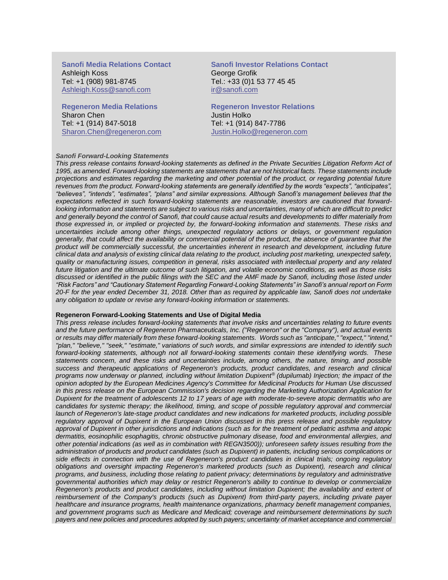**Sanofi Media Relations Contact** Ashleigh Koss Tel: +1 (908) 981-8745 [Ashleigh.Koss@sanofi.com](mailto:Ashleigh.Koss@sanofi.com)

**Regeneron Media Relations** Sharon Chen Tel: +1 (914) 847-5018 Sharon.Chen@regeneron.com **Sanofi Investor Relations Contact** George Grofik Tel.: +33 (0)1 53 77 45 45 [ir@sanofi.com](mailto:ir@sanofi.com)

**Regeneron Investor Relations** Justin Holko Tel: +1 (914) 847-7786 Justin.Holko@regeneron.com

#### *Sanofi Forward-Looking Statements*

This press release contains forward-looking statements as defined in the Private Securities Litigation Reform Act of *1995, as amended. Forward-looking statements are statements that are not historical facts. These statements include projections and estimates regarding the marketing and other potential of the product, or regarding potential future revenues from the product. Forward-looking statements are generally identified by the words "expects", "anticipates", "believes", "intends", "estimates", "plans" and similar expressions. Although Sanofi's management believes that the expectations reflected in such forward-looking statements are reasonable, investors are cautioned that forwardlooking information and statements are subject to various risks and uncertainties, many of which are difficult to predict and generally beyond the control of Sanofi, that could cause actual results and developments to differ materially from those expressed in, or implied or projected by, the forward-looking information and statements. These risks and uncertainties include among other things, unexpected regulatory actions or delays, or government regulation generally, that could affect the availability or commercial potential of the product, the absence of guarantee that the product will be commercially successful, the uncertainties inherent in research and development, including future clinical data and analysis of existing clinical data relating to the product, including post marketing, unexpected safety, quality or manufacturing issues, competition in general, risks associated with intellectual property and any related future litigation and the ultimate outcome of such litigation, and volatile economic conditions, as well as those risks discussed or identified in the public filings with the SEC and the AMF made by Sanofi, including those listed under "Risk Factors" and "Cautionary Statement Regarding Forward-Looking Statements" in Sanofi's annual report on Form 20-F for the year ended December 31, 2018. Other than as required by applicable law, Sanofi does not undertake any obligation to update or revise any forward-looking information or statements.*

#### **Regeneron Forward-Looking Statements and Use of Digital Media**

*This press release includes forward-looking statements that involve risks and uncertainties relating to future events and the future performance of Regeneron Pharmaceuticals, Inc. ("Regeneron" or the "Company"), and actual events or results may differ materially from these forward-looking statements. Words such as "anticipate," "expect," "intend," "plan," "believe," "seek," "estimate," variations of such words, and similar expressions are intended to identify such forward-looking statements, although not all forward-looking statements contain these identifying words. These statements concern, and these risks and uncertainties include, among others, the nature, timing, and possible success and therapeutic applications of Regeneron's products, product candidates, and research and clinical programs now underway or planned, including without limitation Dupixent® (dupilumab) Injection; the impact of the opinion adopted by the European Medicines Agency's Committee for Medicinal Products for Human Use discussed in this press release on the European Commission's decision regarding the Marketing Authorization Application for Dupixent for the treatment of adolescents 12 to 17 years of age with moderate-to-severe atopic dermatitis who are candidates for systemic therapy; the likelihood, timing, and scope of possible regulatory approval and commercial launch of Regeneron's late-stage product candidates and new indications for marketed products, including possible regulatory approval of Dupixent in the European Union discussed in this press release and possible regulatory approval of Dupixent in other jurisdictions and indications (such as for the treatment of pediatric asthma and atopic dermatitis, eosinophilic esophagitis, chronic obstructive pulmonary disease, food and environmental allergies, and other potential indications (as well as in combination with REGN3500)); unforeseen safety issues resulting from the administration of products and product candidates (such as Dupixent) in patients, including serious complications or side effects in connection with the use of Regeneron's product candidates in clinical trials; ongoing regulatory obligations and oversight impacting Regeneron's marketed products (such as Dupixent), research and clinical programs, and business, including those relating to patient privacy; determinations by regulatory and administrative governmental authorities which may delay or restrict Regeneron's ability to continue to develop or commercialize Regeneron's products and product candidates, including without limitation Dupixent; the availability and extent of reimbursement of the Company's products (such as Dupixent) from third-party payers, including private payer healthcare and insurance programs, health maintenance organizations, pharmacy benefit management companies, and government programs such as Medicare and Medicaid; coverage and reimbursement determinations by such payers and new policies and procedures adopted by such payers; uncertainty of market acceptance and commercial*